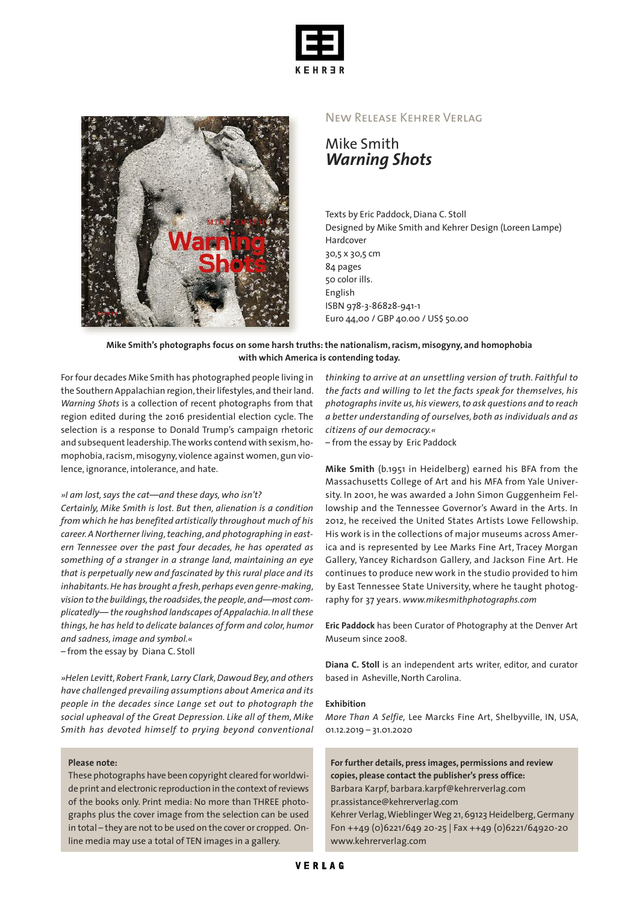



## New Release Kehrer Verlag

Mike Smith *Warning Shots*

Texts by Eric Paddock, Diana C. Stoll Designed by Mike Smith and Kehrer Design (Loreen Lampe) Hardcover 30,5 x 30,5 cm 84 pages 50 color ills. English ISBN 978-3-86828-941-1 Euro 44,00 / GBP 40.00 / US\$ 50.00

## **Mike Smith's photographs focus on some harsh truths:the nationalism,racism, misogyny, and homophobia with which America is contending today.**

Forfour decades Mike Smith has photographed people living in the Southern Appalachian region, their lifestyles, and their land. *Warning Shots* is a collection of recent photographs from that region edited during the 2016 presidential election cycle. The selection is a response to Donald Trump's campaign rhetoric and subsequent leadership. The works contend with sexism, homophobia, racism, misogyny, violence against women, gun violence, ignorance, intolerance, and hate.

#### *»I am lost,says the cat—and these days, who isn't?*

*Certainly, Mike Smith is lost. But then, alienation is a condition from which he has benefited artistically throughout much of his career.A Northernerliving,teaching,and photographing in eastern Tennessee over the past four decades, he has operated as something of a stranger in a strange land, maintaining an eye that is perpetually new and fascinated by this rural place and its inhabitants.He has brought a fresh,perhaps even genre-making, vision to the buildings,the roadsides,the people,and—most complicatedly— the roughshod landscapes of Appalachia.In allthese things, he has held to delicate balances of form and color, humor and sadness, image and symbol.« –* from the essay by Diana C. Stoll

*»Helen Levitt, Robert Frank, Larry Clark,Dawoud Bey, and others have challenged prevailing assumptions about America and its people in the decades since Lange set out to photograph the social upheaval of the Great Depression. Like all of them, Mike Smith has devoted himself to prying beyond conventional*

#### **Please note:**

These photographs have been copyright cleared for worldwide print and electronic reproduction in the context of reviews of the books only. Print media: No more than THREE photographs plus the cover image from the selection can be used in total – they are not to be used on the cover or cropped. Online media may use a total of TEN images in a gallery.

*thinking to arrive at an unsettling version of truth. Faithful to the facts and willing to let the facts speak for themselves, his photographsinvite us,his viewers,to ask questions and to reach a better understanding of ourselves, both as individuals and as citizens of our democracy.«*

*–* from the essay by Eric Paddock

**Mike Smith** (b.1951 in Heidelberg) earned his BFA from the Massachusetts College of Art and his MFA from Yale University. In 2001, he was awarded a John Simon Guggenheim Fellowship and the Tennessee Governor's Award in the Arts. In 2012, he received the United States Artists Lowe Fellowship. His work is in the collections of major museums across America and is represented by Lee Marks Fine Art, Tracey Morgan Gallery, Yancey Richardson Gallery, and Jackson Fine Art. He continues to produce new work in the studio provided to him by East Tennessee State University, where he taught photography for 37 years. *www.mikesmithphotographs.com*

**Eric Paddock** has been Curator of Photography at the Denver Art Museum since 2008.

**Diana C. Stoll** is an independent arts writer, editor, and curator based in Asheville, North Carolina.

#### **Exhibition**

*More Than A Selfie,* Lee Marcks Fine Art, Shelbyville, IN, USA, 01.12.2019 – 31.01.2020

**For further details, press images, permissions and review copies, please contact the publisher's press office:** Barbara Karpf, barbara.karpf@kehrerverlag.com pr.assistance@kehrerverlag.com Kehrer Verlag,WieblingerWeg 21,69123 Heidelberg,Germany Fon ++49 (0)6221/649 20-25 | Fax ++49 (0)6221/64920-20 www.kehrerverlag.com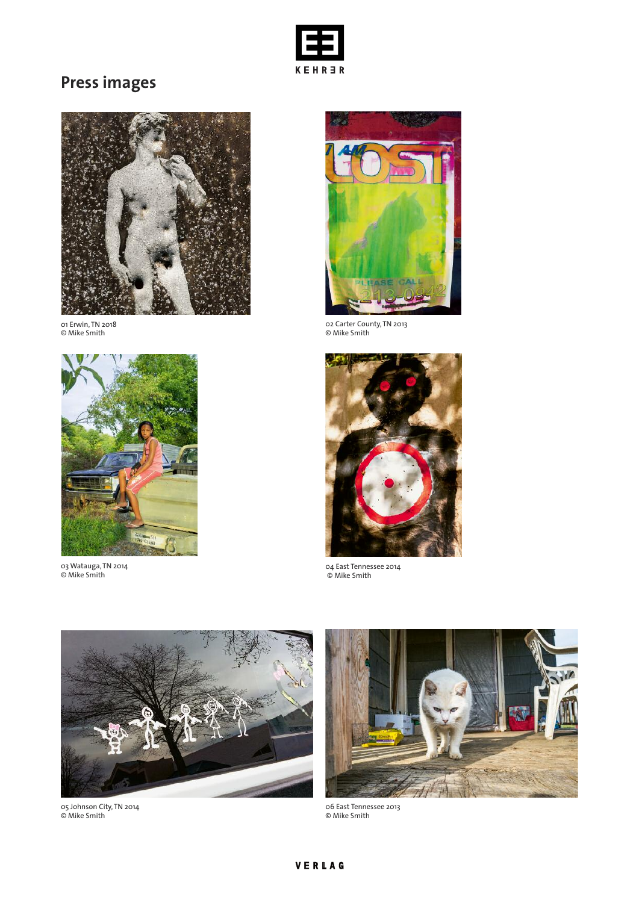

# **Press images**



01 Erwin, TN 2018 © Mike Smith



03 Watauga, TN 2014 © Mike Smith



02 Carter County, TN 2013 © Mike Smith



04 East Tennessee 2014 © Mike Smith



05 Johnson City, TN 2014 © Mike Smith



06 East Tennessee 2013 © Mike Smith

# VERLAG